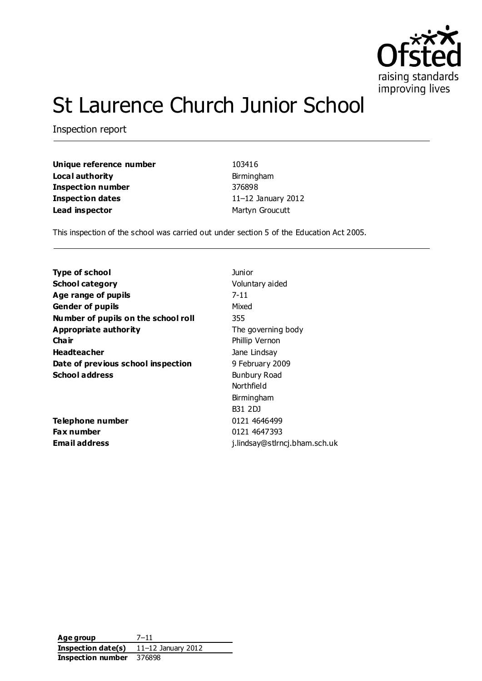

# St Laurence Church Junior School

Inspection report

**Unique reference number** 103416 **Local authority Birmingham Inspection number** 376898 **Inspection dates** 11–12 January 2012 **Lead inspector** Martyn Groucutt

This inspection of the school was carried out under section 5 of the Education Act 2005.

| Voluntary aided               |
|-------------------------------|
|                               |
|                               |
|                               |
|                               |
|                               |
| The governing body            |
| Phillip Vernon                |
| Jane Lindsay                  |
| 9 February 2009               |
| Bunbury Road                  |
| Northfield                    |
| Birmingham                    |
| B31 2DJ                       |
| 0121 4646499                  |
| 0121 4647393                  |
| j.lindsay@stlrncj.bham.sch.uk |
|                               |

**Age group** 7–11 **Inspection date(s)** 11–12 January 2012 **Inspection number** 376898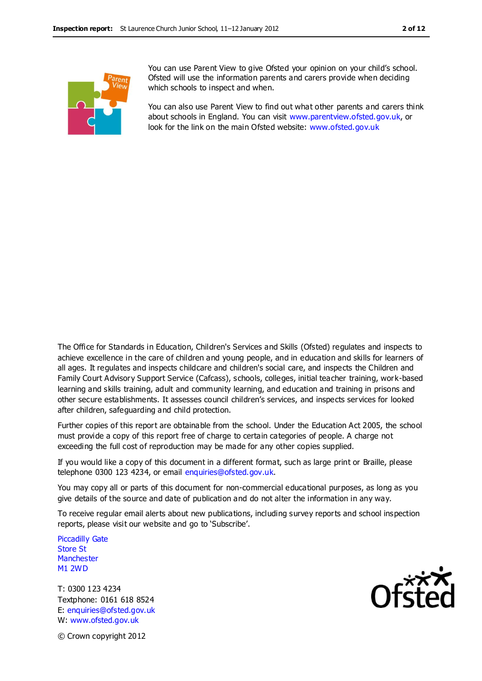

You can use Parent View to give Ofsted your opinion on your child's school. Ofsted will use the information parents and carers provide when deciding which schools to inspect and when.

You can also use Parent View to find out what other parents and carers think about schools in England. You can visit [www.parentview.ofsted.gov.uk,](http://www.parentview.ofsted.gov.uk/) or look for the link on the main Ofsted website: [www.ofsted.gov.uk](http://www.ofsted.gov.uk/)

The Office for Standards in Education, Children's Services and Skills (Ofsted) regulates and inspects to achieve excellence in the care of children and young people, and in education and skills for learners of all ages. It regulates and inspects childcare and children's social care, and inspects the Children and Family Court Advisory Support Service (Cafcass), schools, colleges, initial teacher training, work-based learning and skills training, adult and community learning, and education and training in prisons and other secure establishments. It assesses council children's services, and inspects services for looked after children, safeguarding and child protection.

Further copies of this report are obtainable from the school. Under the Education Act 2005, the school must provide a copy of this report free of charge to certain categories of people. A charge not exceeding the full cost of reproduction may be made for any other copies supplied.

If you would like a copy of this document in a different format, such as large print or Braille, please telephone 0300 123 4234, or email enquiries@ofsted.gov.uk.

You may copy all or parts of this document for non-commercial educational purposes, as long as you give details of the source and date of publication and do not alter the information in any way.

To receive regular email alerts about new publications, including survey reports and school inspection reports, please visit our website and go to 'Subscribe'.

Piccadilly Gate Store St **Manchester** M1 2WD

T: 0300 123 4234 Textphone: 0161 618 8524 E: enquiries@ofsted.gov.uk W: www.ofsted.gov.uk



© Crown copyright 2012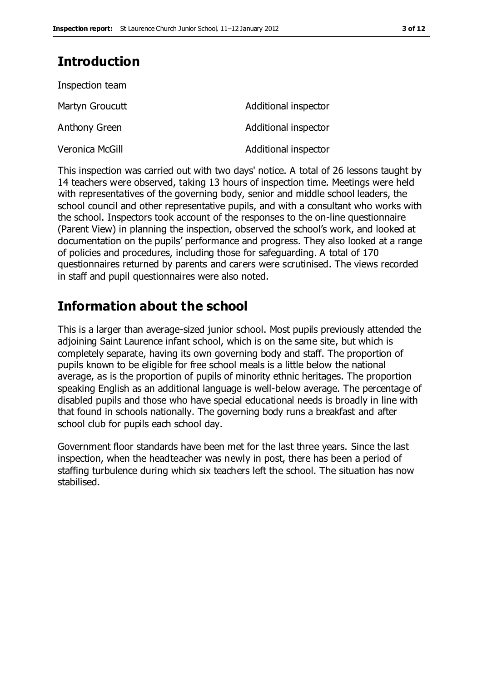### **Introduction**

| Inspection team |                      |
|-----------------|----------------------|
| Martyn Groucutt | Additional inspector |
| Anthony Green   | Additional inspector |
| Veronica McGill | Additional inspector |

This inspection was carried out with two days' notice. A total of 26 lessons taught by 14 teachers were observed, taking 13 hours of inspection time. Meetings were held with representatives of the governing body, senior and middle school leaders, the school council and other representative pupils, and with a consultant who works with the school. Inspectors took account of the responses to the on-line questionnaire (Parent View) in planning the inspection, observed the school's work, and looked at documentation on the pupils' performance and progress. They also looked at a range of policies and procedures, including those for safeguarding. A total of 170 questionnaires returned by parents and carers were scrutinised. The views recorded in staff and pupil questionnaires were also noted.

### **Information about the school**

This is a larger than average-sized junior school. Most pupils previously attended the adjoining Saint Laurence infant school, which is on the same site, but which is completely separate, having its own governing body and staff. The proportion of pupils known to be eligible for free school meals is a little below the national average, as is the proportion of pupils of minority ethnic heritages. The proportion speaking English as an additional language is well-below average. The percentage of disabled pupils and those who have special educational needs is broadly in line with that found in schools nationally. The governing body runs a breakfast and after school club for pupils each school day.

Government floor standards have been met for the last three years. Since the last inspection, when the headteacher was newly in post, there has been a period of staffing turbulence during which six teachers left the school. The situation has now stabilised.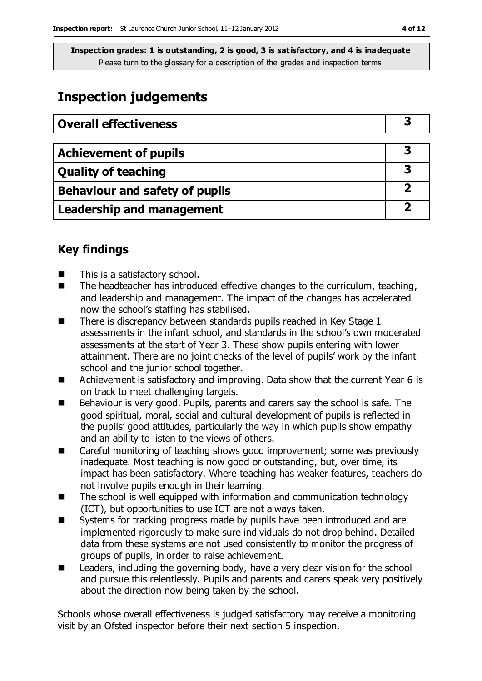### **Inspection judgements**

| <b>Overall effectiveness</b>          |   |
|---------------------------------------|---|
|                                       |   |
| <b>Achievement of pupils</b>          | 3 |
| <b>Quality of teaching</b>            | 3 |
| <b>Behaviour and safety of pupils</b> | 2 |
| <b>Leadership and management</b>      |   |

### **Key findings**

- This is a satisfactory school.
- The headteacher has introduced effective changes to the curriculum, teaching, and leadership and management. The impact of the changes has accelerated now the school's staffing has stabilised.
- $\blacksquare$  There is discrepancy between standards pupils reached in Key Stage 1 assessments in the infant school, and standards in the school's own moderated assessments at the start of Year 3. These show pupils entering with lower attainment. There are no joint checks of the level of pupils' work by the infant school and the junior school together.
- Achievement is satisfactory and improving. Data show that the current Year 6 is on track to meet challenging targets.
- Behaviour is very good. Pupils, parents and carers say the school is safe. The good spiritual, moral, social and cultural development of pupils is reflected in the pupils' good attitudes, particularly the way in which pupils show empathy and an ability to listen to the views of others.
- Careful monitoring of teaching shows good improvement; some was previously inadequate. Most teaching is now good or outstanding, but, over time, its impact has been satisfactory. Where teaching has weaker features, teachers do not involve pupils enough in their learning.
- The school is well equipped with information and communication technology (ICT), but opportunities to use ICT are not always taken.
- Systems for tracking progress made by pupils have been introduced and are implemented rigorously to make sure individuals do not drop behind. Detailed data from these systems are not used consistently to monitor the progress of groups of pupils, in order to raise achievement.
- Leaders, including the governing body, have a very clear vision for the school and pursue this relentlessly. Pupils and parents and carers speak very positively about the direction now being taken by the school.

Schools whose overall effectiveness is judged satisfactory may receive a monitoring visit by an Ofsted inspector before their next section 5 inspection.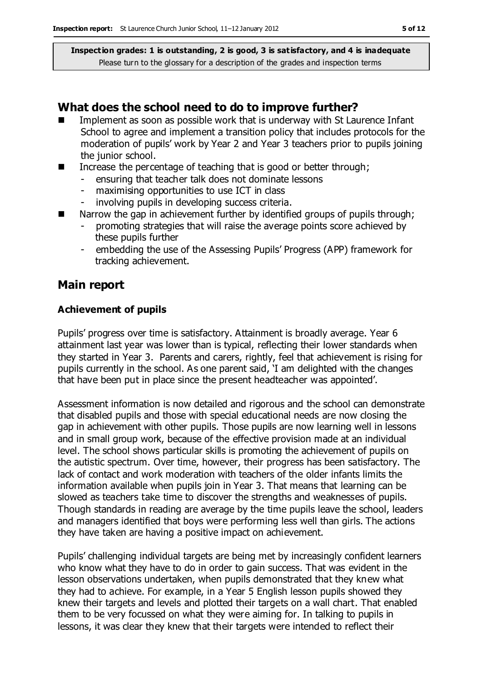#### **What does the school need to do to improve further?**

- Implement as soon as possible work that is underway with St Laurence Infant School to agree and implement a transition policy that includes protocols for the moderation of pupils' work by Year 2 and Year 3 teachers prior to pupils joining the junior school.
- Increase the percentage of teaching that is good or better through;
	- ensuring that teacher talk does not dominate lessons
	- maximising opportunities to use ICT in class
	- involving pupils in developing success criteria.
- $\blacksquare$  Narrow the gap in achievement further by identified groups of pupils through;
	- promoting strategies that will raise the average points score achieved by these pupils further
	- embedding the use of the Assessing Pupils' Progress (APP) framework for tracking achievement.

#### **Main report**

#### **Achievement of pupils**

Pupils' progress over time is satisfactory. Attainment is broadly average. Year 6 attainment last year was lower than is typical, reflecting their lower standards when they started in Year 3. Parents and carers, rightly, feel that achievement is rising for pupils currently in the school. As one parent said, 'I am delighted with the changes that have been put in place since the present headteacher was appointed'.

Assessment information is now detailed and rigorous and the school can demonstrate that disabled pupils and those with special educational needs are now closing the gap in achievement with other pupils. Those pupils are now learning well in lessons and in small group work, because of the effective provision made at an individual level. The school shows particular skills is promoting the achievement of pupils on the autistic spectrum. Over time, however, their progress has been satisfactory. The lack of contact and work moderation with teachers of the older infants limits the information available when pupils join in Year 3. That means that learning can be slowed as teachers take time to discover the strengths and weaknesses of pupils. Though standards in reading are average by the time pupils leave the school, leaders and managers identified that boys were performing less well than girls. The actions they have taken are having a positive impact on achievement.

Pupils' challenging individual targets are being met by increasingly confident learners who know what they have to do in order to gain success. That was evident in the lesson observations undertaken, when pupils demonstrated that they knew what they had to achieve. For example, in a Year 5 English lesson pupils showed they knew their targets and levels and plotted their targets on a wall chart. That enabled them to be very focussed on what they were aiming for. In talking to pupils in lessons, it was clear they knew that their targets were intended to reflect their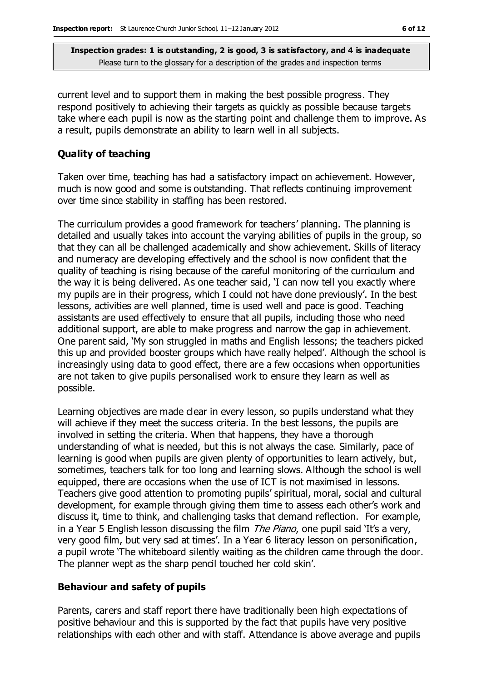current level and to support them in making the best possible progress. They respond positively to achieving their targets as quickly as possible because targets take where each pupil is now as the starting point and challenge them to improve. As a result, pupils demonstrate an ability to learn well in all subjects.

#### **Quality of teaching**

Taken over time, teaching has had a satisfactory impact on achievement. However, much is now good and some is outstanding. That reflects continuing improvement over time since stability in staffing has been restored.

The curriculum provides a good framework for teachers' planning. The planning is detailed and usually takes into account the varying abilities of pupils in the group, so that they can all be challenged academically and show achievement. Skills of literacy and numeracy are developing effectively and the school is now confident that the quality of teaching is rising because of the careful monitoring of the curriculum and the way it is being delivered. As one teacher said, 'I can now tell you exactly where my pupils are in their progress, which I could not have done previously'. In the best lessons, activities are well planned, time is used well and pace is good. Teaching assistants are used effectively to ensure that all pupils, including those who need additional support, are able to make progress and narrow the gap in achievement. One parent said, 'My son struggled in maths and English lessons; the teachers picked this up and provided booster groups which have really helped'. Although the school is increasingly using data to good effect, there are a few occasions when opportunities are not taken to give pupils personalised work to ensure they learn as well as possible.

Learning objectives are made clear in every lesson, so pupils understand what they will achieve if they meet the success criteria. In the best lessons, the pupils are involved in setting the criteria. When that happens, they have a thorough understanding of what is needed, but this is not always the case. Similarly, pace of learning is good when pupils are given plenty of opportunities to learn actively, but, sometimes, teachers talk for too long and learning slows. Although the school is well equipped, there are occasions when the use of ICT is not maximised in lessons. Teachers give good attention to promoting pupils' spiritual, moral, social and cultural development, for example through giving them time to assess each other's work and discuss it, time to think, and challenging tasks that demand reflection. For example, in a Year 5 English lesson discussing the film The Piano, one pupil said 'It's a very, very good film, but very sad at times'. In a Year 6 literacy lesson on personification, a pupil wrote 'The whiteboard silently waiting as the children came through the door. The planner wept as the sharp pencil touched her cold skin'.

#### **Behaviour and safety of pupils**

Parents, carers and staff report there have traditionally been high expectations of positive behaviour and this is supported by the fact that pupils have very positive relationships with each other and with staff. Attendance is above average and pupils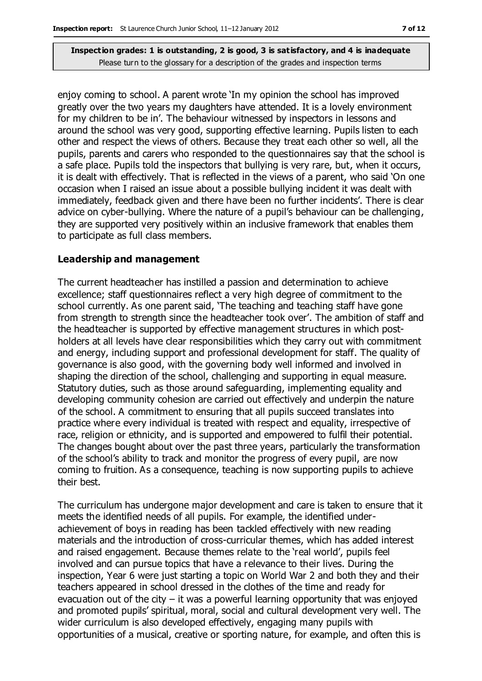enjoy coming to school. A parent wrote 'In my opinion the school has improved greatly over the two years my daughters have attended. It is a lovely environment for my children to be in'. The behaviour witnessed by inspectors in lessons and around the school was very good, supporting effective learning. Pupils listen to each other and respect the views of others. Because they treat each other so well, all the pupils, parents and carers who responded to the questionnaires say that the school is a safe place. Pupils told the inspectors that bullying is very rare, but, when it occurs, it is dealt with effectively. That is reflected in the views of a parent, who said 'On one occasion when I raised an issue about a possible bullying incident it was dealt with immediately, feedback given and there have been no further incidents'. There is clear advice on cyber-bullying. Where the nature of a pupil's behaviour can be challenging, they are supported very positively within an inclusive framework that enables them to participate as full class members.

#### **Leadership and management**

The current headteacher has instilled a passion and determination to achieve excellence; staff questionnaires reflect a very high degree of commitment to the school currently. As one parent said, 'The teaching and teaching staff have gone from strength to strength since the headteacher took over'. The ambition of staff and the headteacher is supported by effective management structures in which postholders at all levels have clear responsibilities which they carry out with commitment and energy, including support and professional development for staff. The quality of governance is also good, with the governing body well informed and involved in shaping the direction of the school, challenging and supporting in equal measure. Statutory duties, such as those around safeguarding, implementing equality and developing community cohesion are carried out effectively and underpin the nature of the school. A commitment to ensuring that all pupils succeed translates into practice where every individual is treated with respect and equality, irrespective of race, religion or ethnicity, and is supported and empowered to fulfil their potential. The changes bought about over the past three years, particularly the transformation of the school's ability to track and monitor the progress of every pupil, are now coming to fruition. As a consequence, teaching is now supporting pupils to achieve their best.

The curriculum has undergone major development and care is taken to ensure that it meets the identified needs of all pupils. For example, the identified underachievement of boys in reading has been tackled effectively with new reading materials and the introduction of cross-curricular themes, which has added interest and raised engagement. Because themes relate to the 'real world', pupils feel involved and can pursue topics that have a relevance to their lives. During the inspection, Year 6 were just starting a topic on World War 2 and both they and their teachers appeared in school dressed in the clothes of the time and ready for evacuation out of the city  $-$  it was a powerful learning opportunity that was enjoyed and promoted pupils' spiritual, moral, social and cultural development very well. The wider curriculum is also developed effectively, engaging many pupils with opportunities of a musical, creative or sporting nature, for example, and often this is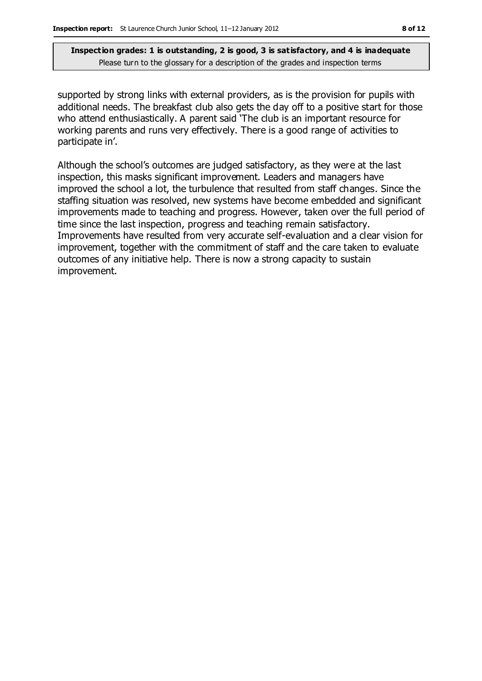supported by strong links with external providers, as is the provision for pupils with additional needs. The breakfast club also gets the day off to a positive start for those who attend enthusiastically. A parent said 'The club is an important resource for working parents and runs very effectively. There is a good range of activities to participate in'.

Although the school's outcomes are judged satisfactory, as they were at the last inspection, this masks significant improvement. Leaders and managers have improved the school a lot, the turbulence that resulted from staff changes. Since the staffing situation was resolved, new systems have become embedded and significant improvements made to teaching and progress. However, taken over the full period of time since the last inspection, progress and teaching remain satisfactory. Improvements have resulted from very accurate self-evaluation and a clear vision for improvement, together with the commitment of staff and the care taken to evaluate outcomes of any initiative help. There is now a strong capacity to sustain improvement.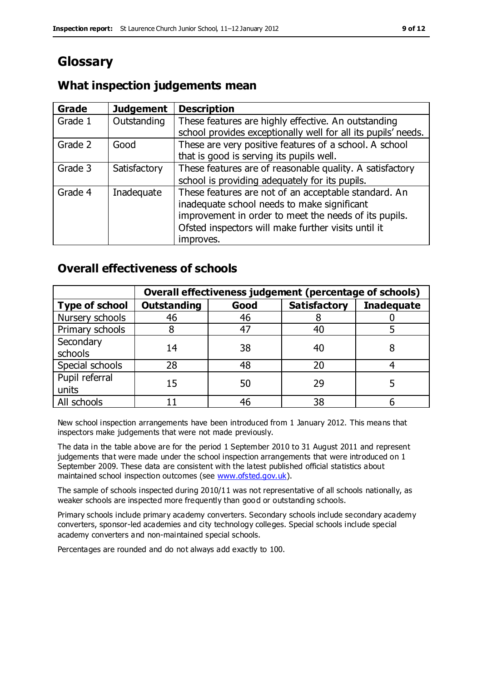## **Glossary**

#### **What inspection judgements mean**

| Grade   | <b>Judgement</b> | <b>Description</b>                                                                                                                                                                                                               |
|---------|------------------|----------------------------------------------------------------------------------------------------------------------------------------------------------------------------------------------------------------------------------|
| Grade 1 | Outstanding      | These features are highly effective. An outstanding<br>school provides exceptionally well for all its pupils' needs.                                                                                                             |
| Grade 2 | Good             | These are very positive features of a school. A school<br>that is good is serving its pupils well.                                                                                                                               |
| Grade 3 | Satisfactory     | These features are of reasonable quality. A satisfactory<br>school is providing adequately for its pupils.                                                                                                                       |
| Grade 4 | Inadequate       | These features are not of an acceptable standard. An<br>inadequate school needs to make significant<br>improvement in order to meet the needs of its pupils.<br>Ofsted inspectors will make further visits until it<br>improves. |

### **Overall effectiveness of schools**

|                         | Overall effectiveness judgement (percentage of schools) |      |                     |                   |
|-------------------------|---------------------------------------------------------|------|---------------------|-------------------|
| <b>Type of school</b>   | <b>Outstanding</b>                                      | Good | <b>Satisfactory</b> | <b>Inadequate</b> |
| Nursery schools         | 46                                                      | 46   |                     |                   |
| Primary schools         |                                                         | 47   | 40                  |                   |
| Secondary<br>schools    | 14                                                      | 38   | 40                  |                   |
| Special schools         | 28                                                      | 48   | 20                  |                   |
| Pupil referral<br>units | 15                                                      | 50   | 29                  |                   |
| All schools             |                                                         | 46   | 38                  |                   |

New school inspection arrangements have been introduced from 1 January 2012. This means that inspectors make judgements that were not made previously.

The data in the table above are for the period 1 September 2010 to 31 August 2011 and represent judgements that were made under the school inspection arrangements that were introduced on 1 September 2009. These data are consistent with the latest published official statistics about maintained school inspection outcomes (see [www.ofsted.gov.uk\)](http://www.ofsted.gov.uk/).

The sample of schools inspected during 2010/11 was not representative of all schools nationally, as weaker schools are inspected more frequently than good or outstanding schools.

Primary schools include primary academy converters. Secondary schools include secondary academy converters, sponsor-led academies and city technology colleges. Special schools include special academy converters and non-maintained special schools.

Percentages are rounded and do not always add exactly to 100.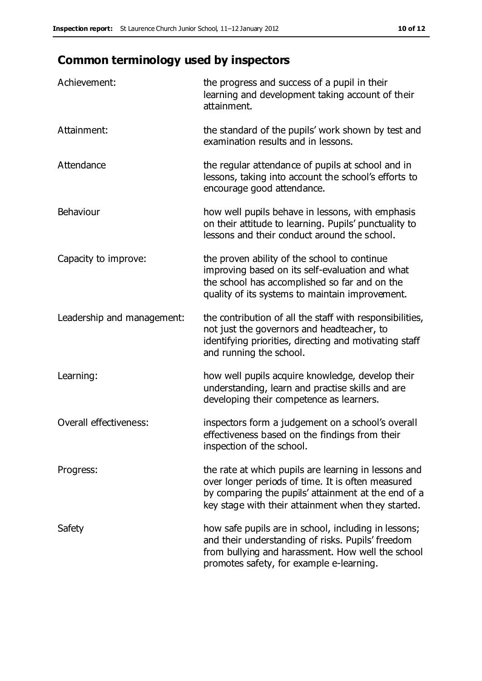## **Common terminology used by inspectors**

| Achievement:                  | the progress and success of a pupil in their<br>learning and development taking account of their<br>attainment.                                                                                                        |
|-------------------------------|------------------------------------------------------------------------------------------------------------------------------------------------------------------------------------------------------------------------|
| Attainment:                   | the standard of the pupils' work shown by test and<br>examination results and in lessons.                                                                                                                              |
| Attendance                    | the regular attendance of pupils at school and in<br>lessons, taking into account the school's efforts to<br>encourage good attendance.                                                                                |
| Behaviour                     | how well pupils behave in lessons, with emphasis<br>on their attitude to learning. Pupils' punctuality to<br>lessons and their conduct around the school.                                                              |
| Capacity to improve:          | the proven ability of the school to continue<br>improving based on its self-evaluation and what<br>the school has accomplished so far and on the<br>quality of its systems to maintain improvement.                    |
| Leadership and management:    | the contribution of all the staff with responsibilities,<br>not just the governors and headteacher, to<br>identifying priorities, directing and motivating staff<br>and running the school.                            |
| Learning:                     | how well pupils acquire knowledge, develop their<br>understanding, learn and practise skills and are<br>developing their competence as learners.                                                                       |
| <b>Overall effectiveness:</b> | inspectors form a judgement on a school's overall<br>effectiveness based on the findings from their<br>inspection of the school.                                                                                       |
| Progress:                     | the rate at which pupils are learning in lessons and<br>over longer periods of time. It is often measured<br>by comparing the pupils' attainment at the end of a<br>key stage with their attainment when they started. |
| Safety                        | how safe pupils are in school, including in lessons;<br>and their understanding of risks. Pupils' freedom<br>from bullying and harassment. How well the school<br>promotes safety, for example e-learning.             |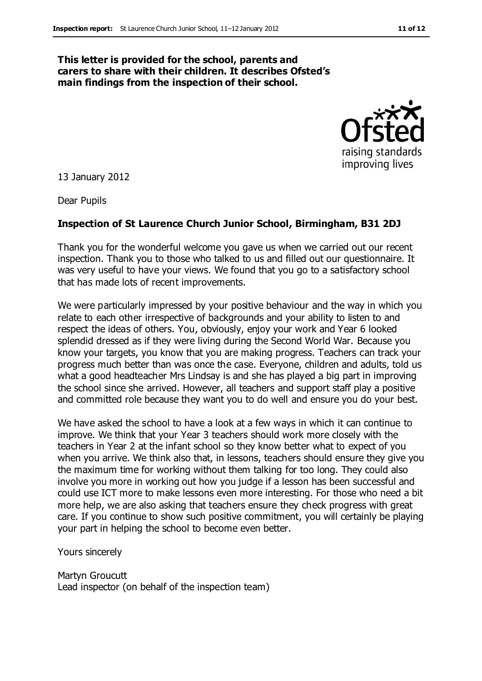#### **This letter is provided for the school, parents and carers to share with their children. It describes Ofsted's main findings from the inspection of their school.**



13 January 2012

Dear Pupils

#### **Inspection of St Laurence Church Junior School, Birmingham, B31 2DJ**

Thank you for the wonderful welcome you gave us when we carried out our recent inspection. Thank you to those who talked to us and filled out our questionnaire. It was very useful to have your views. We found that you go to a satisfactory school that has made lots of recent improvements.

We were particularly impressed by your positive behaviour and the way in which you relate to each other irrespective of backgrounds and your ability to listen to and respect the ideas of others. You, obviously, enjoy your work and Year 6 looked splendid dressed as if they were living during the Second World War. Because you know your targets, you know that you are making progress. Teachers can track your progress much better than was once the case. Everyone, children and adults, told us what a good headteacher Mrs Lindsay is and she has played a big part in improving the school since she arrived. However, all teachers and support staff play a positive and committed role because they want you to do well and ensure you do your best.

We have asked the school to have a look at a few ways in which it can continue to improve. We think that your Year 3 teachers should work more closely with the teachers in Year 2 at the infant school so they know better what to expect of you when you arrive. We think also that, in lessons, teachers should ensure they give you the maximum time for working without them talking for too long. They could also involve you more in working out how you judge if a lesson has been successful and could use ICT more to make lessons even more interesting. For those who need a bit more help, we are also asking that teachers ensure they check progress with great care. If you continue to show such positive commitment, you will certainly be playing your part in helping the school to become even better.

Yours sincerely

Martyn Groucutt Lead inspector (on behalf of the inspection team)